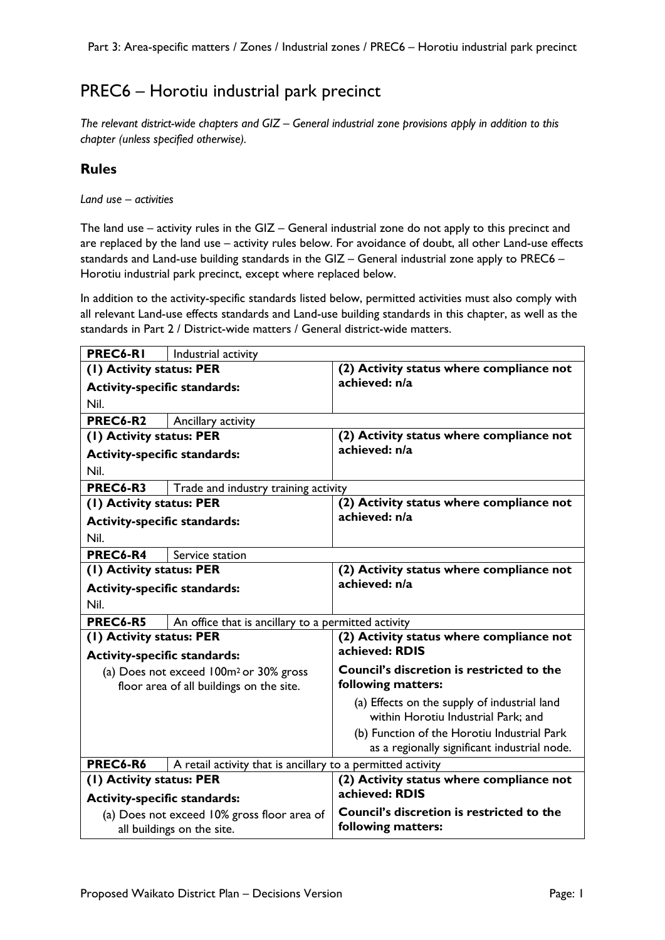## PREC6 – Horotiu industrial park precinct

*The relevant district-wide chapters and GIZ – General industrial zone provisions apply in addition to this chapter (unless specified otherwise).* 

## **Rules**

*Land use – activities*

The land use – activity rules in the GIZ – General industrial zone do not apply to this precinct and are replaced by the land use – activity rules below. For avoidance of doubt, all other Land-use effects standards and Land-use building standards in the GIZ – General industrial zone apply to PREC6 – Horotiu industrial park precinct, except where replaced below.

In addition to the activity-specific standards listed below, permitted activities must also comply with all relevant Land-use effects standards and Land-use building standards in this chapter, as well as the standards in Part 2 / District-wide matters / General district-wide matters.

| PREC6-RI                                    | Industrial activity                                         |                                                                                             |
|---------------------------------------------|-------------------------------------------------------------|---------------------------------------------------------------------------------------------|
| (1) Activity status: PER                    |                                                             | (2) Activity status where compliance not                                                    |
| <b>Activity-specific standards:</b>         |                                                             | achieved: n/a                                                                               |
| Nil.                                        |                                                             |                                                                                             |
| PREC6-R2                                    | Ancillary activity                                          |                                                                                             |
| (1) Activity status: PER                    |                                                             | (2) Activity status where compliance not                                                    |
| <b>Activity-specific standards:</b>         |                                                             | achieved: n/a                                                                               |
| Nil.                                        |                                                             |                                                                                             |
| PREC6-R3                                    | Trade and industry training activity                        |                                                                                             |
| (1) Activity status: PER                    |                                                             | (2) Activity status where compliance not                                                    |
| <b>Activity-specific standards:</b>         |                                                             | achieved: n/a                                                                               |
| Nil.                                        |                                                             |                                                                                             |
| PREC6-R4                                    | Service station                                             |                                                                                             |
| (I) Activity status: PER                    |                                                             | (2) Activity status where compliance not                                                    |
| <b>Activity-specific standards:</b>         |                                                             | achieved: n/a                                                                               |
| Nil.                                        |                                                             |                                                                                             |
| PREC6-R5                                    | An office that is ancillary to a permitted activity         |                                                                                             |
| (1) Activity status: PER                    |                                                             | (2) Activity status where compliance not                                                    |
| <b>Activity-specific standards:</b>         |                                                             | achieved: RDIS                                                                              |
|                                             | (a) Does not exceed 100m <sup>2</sup> or 30% gross          | <b>Council's discretion is restricted to the</b>                                            |
|                                             | floor area of all buildings on the site.                    | following matters:                                                                          |
|                                             |                                                             | (a) Effects on the supply of industrial land<br>within Horotiu Industrial Park; and         |
|                                             |                                                             | (b) Function of the Horotiu Industrial Park<br>as a regionally significant industrial node. |
| PREC6-R6                                    | A retail activity that is ancillary to a permitted activity |                                                                                             |
| (1) Activity status: PER                    |                                                             | (2) Activity status where compliance not                                                    |
| <b>Activity-specific standards:</b>         |                                                             | achieved: RDIS                                                                              |
| (a) Does not exceed 10% gross floor area of |                                                             | <b>Council's discretion is restricted to the</b>                                            |
| all buildings on the site.                  |                                                             | following matters:                                                                          |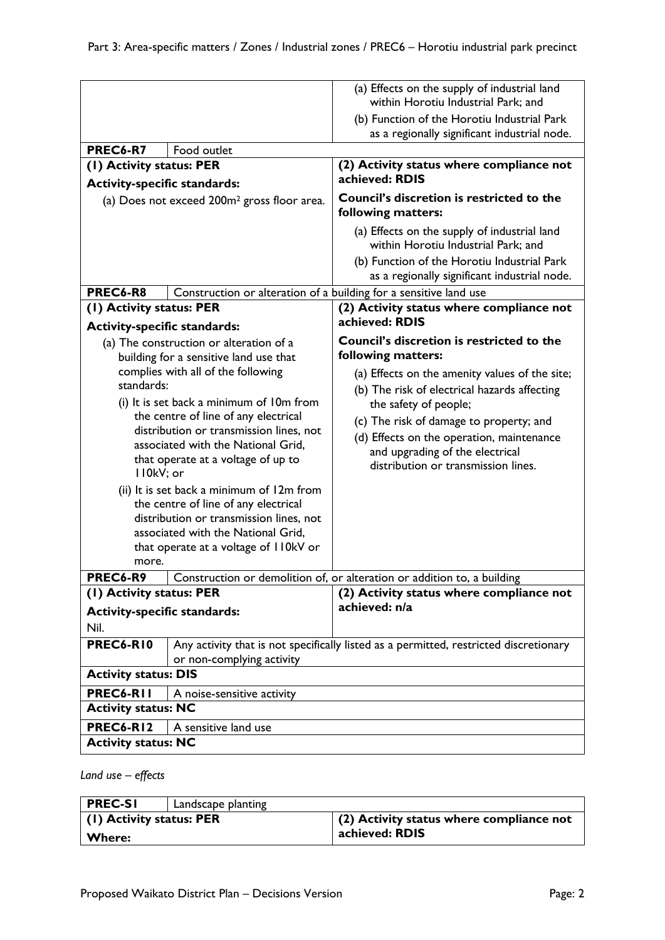|                                                                                                                                                                                                                                                                                                                                                                                                                                                                                                                                                                                                                              |                                                                   | (a) Effects on the supply of industrial land<br>within Horotiu Industrial Park; and                                                                                                                                                                                                                                                                          |
|------------------------------------------------------------------------------------------------------------------------------------------------------------------------------------------------------------------------------------------------------------------------------------------------------------------------------------------------------------------------------------------------------------------------------------------------------------------------------------------------------------------------------------------------------------------------------------------------------------------------------|-------------------------------------------------------------------|--------------------------------------------------------------------------------------------------------------------------------------------------------------------------------------------------------------------------------------------------------------------------------------------------------------------------------------------------------------|
|                                                                                                                                                                                                                                                                                                                                                                                                                                                                                                                                                                                                                              |                                                                   | (b) Function of the Horotiu Industrial Park<br>as a regionally significant industrial node.                                                                                                                                                                                                                                                                  |
| PREC6-R7                                                                                                                                                                                                                                                                                                                                                                                                                                                                                                                                                                                                                     | Food outlet                                                       |                                                                                                                                                                                                                                                                                                                                                              |
| (I) Activity status: PER                                                                                                                                                                                                                                                                                                                                                                                                                                                                                                                                                                                                     |                                                                   | (2) Activity status where compliance not                                                                                                                                                                                                                                                                                                                     |
|                                                                                                                                                                                                                                                                                                                                                                                                                                                                                                                                                                                                                              |                                                                   | achieved: RDIS                                                                                                                                                                                                                                                                                                                                               |
| <b>Activity-specific standards:</b><br>(a) Does not exceed 200m <sup>2</sup> gross floor area.                                                                                                                                                                                                                                                                                                                                                                                                                                                                                                                               |                                                                   | Council's discretion is restricted to the<br>following matters:                                                                                                                                                                                                                                                                                              |
|                                                                                                                                                                                                                                                                                                                                                                                                                                                                                                                                                                                                                              |                                                                   | (a) Effects on the supply of industrial land<br>within Horotiu Industrial Park; and                                                                                                                                                                                                                                                                          |
|                                                                                                                                                                                                                                                                                                                                                                                                                                                                                                                                                                                                                              |                                                                   | (b) Function of the Horotiu Industrial Park<br>as a regionally significant industrial node.                                                                                                                                                                                                                                                                  |
| PREC6-R8                                                                                                                                                                                                                                                                                                                                                                                                                                                                                                                                                                                                                     | Construction or alteration of a building for a sensitive land use |                                                                                                                                                                                                                                                                                                                                                              |
| (1) Activity status: PER                                                                                                                                                                                                                                                                                                                                                                                                                                                                                                                                                                                                     |                                                                   | (2) Activity status where compliance not<br>achieved: RDIS                                                                                                                                                                                                                                                                                                   |
| <b>Activity-specific standards:</b><br>(a) The construction or alteration of a<br>building for a sensitive land use that<br>complies with all of the following<br>standards:<br>(i) It is set back a minimum of 10m from<br>the centre of line of any electrical<br>distribution or transmission lines, not<br>associated with the National Grid,<br>that operate at a voltage of up to<br>II0kV; or<br>(ii) It is set back a minimum of 12m from<br>the centre of line of any electrical<br>distribution or transmission lines, not<br>associated with the National Grid,<br>that operate at a voltage of II0kV or<br>more. |                                                                   | Council's discretion is restricted to the<br>following matters:<br>(a) Effects on the amenity values of the site;<br>(b) The risk of electrical hazards affecting<br>the safety of people;<br>(c) The risk of damage to property; and<br>(d) Effects on the operation, maintenance<br>and upgrading of the electrical<br>distribution or transmission lines. |
| PREC6-R9                                                                                                                                                                                                                                                                                                                                                                                                                                                                                                                                                                                                                     |                                                                   | Construction or demolition of, or alteration or addition to, a building                                                                                                                                                                                                                                                                                      |
| (1) Activity status: PER                                                                                                                                                                                                                                                                                                                                                                                                                                                                                                                                                                                                     |                                                                   | (2) Activity status where compliance not                                                                                                                                                                                                                                                                                                                     |
| <b>Activity-specific standards:</b>                                                                                                                                                                                                                                                                                                                                                                                                                                                                                                                                                                                          |                                                                   | achieved: n/a                                                                                                                                                                                                                                                                                                                                                |
| Nil.                                                                                                                                                                                                                                                                                                                                                                                                                                                                                                                                                                                                                         |                                                                   |                                                                                                                                                                                                                                                                                                                                                              |
| PREC6-RIO                                                                                                                                                                                                                                                                                                                                                                                                                                                                                                                                                                                                                    | or non-complying activity                                         | Any activity that is not specifically listed as a permitted, restricted discretionary                                                                                                                                                                                                                                                                        |
| <b>Activity status: DIS</b>                                                                                                                                                                                                                                                                                                                                                                                                                                                                                                                                                                                                  |                                                                   |                                                                                                                                                                                                                                                                                                                                                              |
| PREC6-RII<br>A noise-sensitive activity                                                                                                                                                                                                                                                                                                                                                                                                                                                                                                                                                                                      |                                                                   |                                                                                                                                                                                                                                                                                                                                                              |
| <b>Activity status: NC</b>                                                                                                                                                                                                                                                                                                                                                                                                                                                                                                                                                                                                   |                                                                   |                                                                                                                                                                                                                                                                                                                                                              |
| PREC6-R12<br>A sensitive land use                                                                                                                                                                                                                                                                                                                                                                                                                                                                                                                                                                                            |                                                                   |                                                                                                                                                                                                                                                                                                                                                              |
| <b>Activity status: NC</b>                                                                                                                                                                                                                                                                                                                                                                                                                                                                                                                                                                                                   |                                                                   |                                                                                                                                                                                                                                                                                                                                                              |
|                                                                                                                                                                                                                                                                                                                                                                                                                                                                                                                                                                                                                              |                                                                   |                                                                                                                                                                                                                                                                                                                                                              |

## *Land use – effects*

| <b>PREC-SI</b>                   | Landscape planting |                                                  |
|----------------------------------|--------------------|--------------------------------------------------|
| $\vert$ (1) Activity status: PER |                    | $\vert$ (2) Activity status where compliance not |
| <b>Where:</b>                    |                    | achieved: RDIS                                   |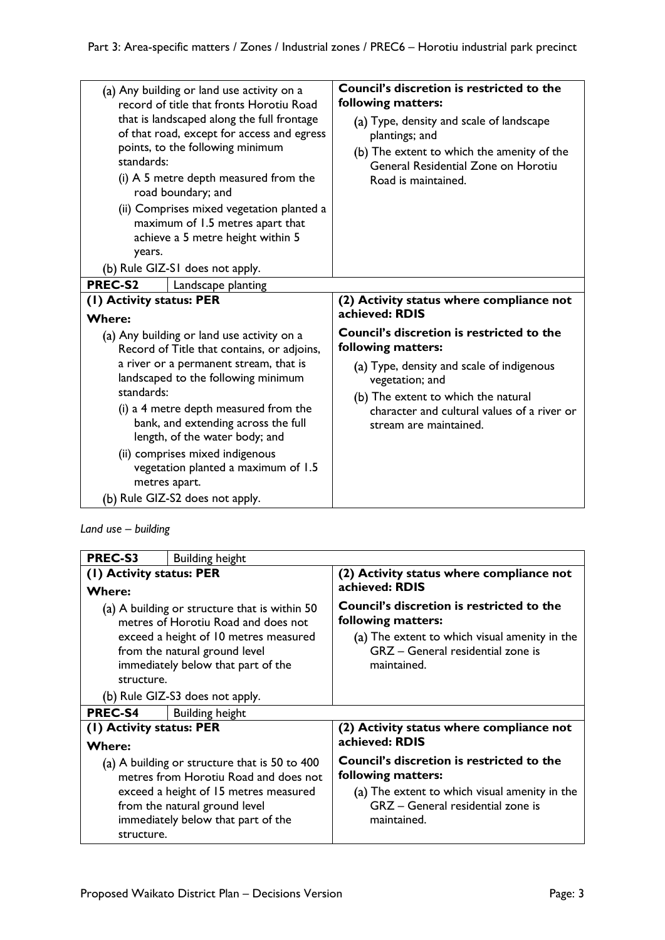| (a) Any building or land use activity on a<br>record of title that fronts Horotiu Road<br>that is landscaped along the full frontage<br>of that road, except for access and egress<br>points, to the following minimum<br>standards:<br>(i) A 5 metre depth measured from the<br>road boundary; and<br>(ii) Comprises mixed vegetation planted a<br>maximum of 1.5 metres apart that<br>achieve a 5 metre height within 5<br>years.<br>(b) Rule GIZ-SI does not apply.<br>PREC-S2<br>Landscape planting | <b>Council's discretion is restricted to the</b><br>following matters:<br>(a) Type, density and scale of landscape<br>plantings; and<br>(b) The extent to which the amenity of the<br>General Residential Zone on Horotiu<br>Road is maintained.       |
|---------------------------------------------------------------------------------------------------------------------------------------------------------------------------------------------------------------------------------------------------------------------------------------------------------------------------------------------------------------------------------------------------------------------------------------------------------------------------------------------------------|--------------------------------------------------------------------------------------------------------------------------------------------------------------------------------------------------------------------------------------------------------|
| (I) Activity status: PER                                                                                                                                                                                                                                                                                                                                                                                                                                                                                | (2) Activity status where compliance not<br>achieved: RDIS                                                                                                                                                                                             |
| <b>Where:</b><br>(a) Any building or land use activity on a<br>Record of Title that contains, or adjoins,<br>a river or a permanent stream, that is<br>landscaped to the following minimum<br>standards:<br>(i) a 4 metre depth measured from the<br>bank, and extending across the full<br>length, of the water body; and<br>(ii) comprises mixed indigenous<br>vegetation planted a maximum of 1.5<br>metres apart.<br>(b) Rule GIZ-S2 does not apply.                                                | <b>Council's discretion is restricted to the</b><br>following matters:<br>(a) Type, density and scale of indigenous<br>vegetation; and<br>(b) The extent to which the natural<br>character and cultural values of a river or<br>stream are maintained. |

*Land use – building*

| <b>PREC-S3</b>                                                                                                                                                                                                            | <b>Building height</b> |                                                                                                                                                                             |
|---------------------------------------------------------------------------------------------------------------------------------------------------------------------------------------------------------------------------|------------------------|-----------------------------------------------------------------------------------------------------------------------------------------------------------------------------|
| (1) Activity status: PER<br><b>Where:</b>                                                                                                                                                                                 |                        | (2) Activity status where compliance not<br>achieved: RDIS                                                                                                                  |
| (a) A building or structure that is within 50<br>metres of Horotiu Road and does not<br>exceed a height of 10 metres measured<br>from the natural ground level<br>immediately below that part of the<br>structure.        |                        | <b>Council's discretion is restricted to the</b><br>following matters:<br>(a) The extent to which visual amenity in the<br>GRZ - General residential zone is<br>maintained. |
| (b) Rule GIZ-S3 does not apply.                                                                                                                                                                                           |                        |                                                                                                                                                                             |
| <b>PREC-S4</b>                                                                                                                                                                                                            | <b>Building height</b> |                                                                                                                                                                             |
| (1) Activity status: PER                                                                                                                                                                                                  |                        | (2) Activity status where compliance not                                                                                                                                    |
| <b>Where:</b>                                                                                                                                                                                                             |                        | achieved: RDIS                                                                                                                                                              |
| (a) A building or structure that is 50 to 400 $\,$<br>metres from Horotiu Road and does not<br>exceed a height of 15 metres measured<br>from the natural ground level<br>immediately below that part of the<br>structure. |                        | <b>Council's discretion is restricted to the</b><br>following matters:<br>(a) The extent to which visual amenity in the<br>GRZ - General residential zone is<br>maintained. |